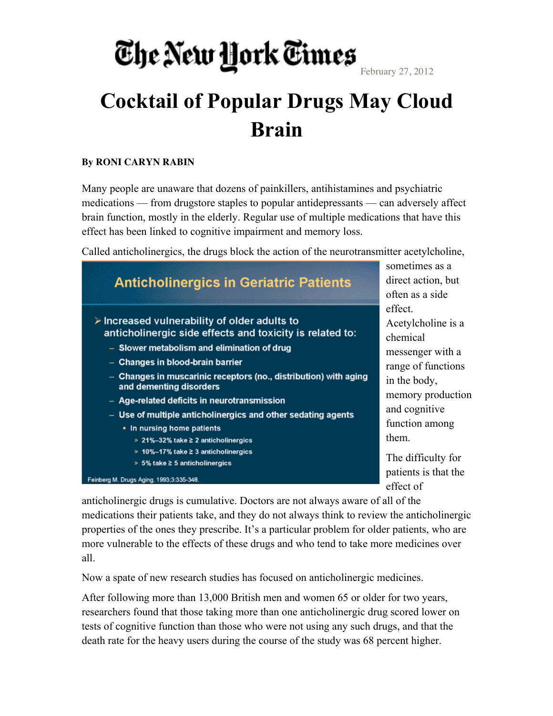February 27, 2012

#### **Cocktail of Popular Drugs May Cloud Brain**

#### **By RONI CARYN RABIN**

Many people are unaware that dozens of painkillers, antihistamines and psychiatric medications — from drugstore staples to popular antidepressants — can adversely affect brain function, mostly in the elderly. Regular use of multiple medications that have this effect has been linked to cognitive impairment and memory loss.

Called anticholinergics, the drugs block the action of the neurotransmitter acetylcholine,



anticholinergic drugs is cumulative. Doctors are not always aware of all of the medications their patients take, and they do not always think to review the anticholinergic properties of the ones they prescribe. It's a particular problem for older patients, who are more vulnerable to the effects of these drugs and who tend to take more medicines over all.

Now a spate of new research studies has focused on anticholinergic medicines.

After following more than 13,000 British men and women 65 or older for two years, researchers found that those taking more than one anticholinergic drug scored lower on tests of cognitive function than those who were not using any such drugs, and that the death rate for the heavy users during the course of the study was 68 percent higher.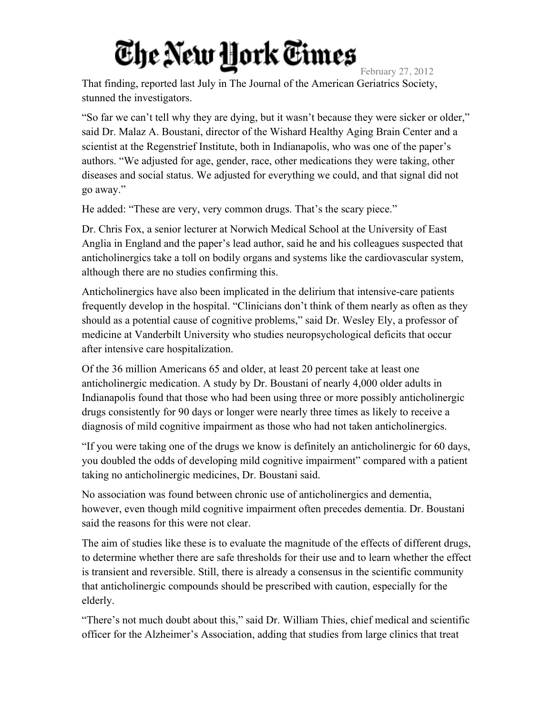February 27, 2012 That finding, reported last July in The Journal of the American Geriatrics Society, stunned the investigators.

"So far we can't tell why they are dying, but it wasn't because they were sicker or older," said Dr. Malaz A. Boustani, director of the Wishard Healthy Aging Brain Center and a scientist at the Regenstrief Institute, both in Indianapolis, who was one of the paper's authors. "We adjusted for age, gender, race, other medications they were taking, other diseases and social status. We adjusted for everything we could, and that signal did not go away."

He added: "These are very, very common drugs. That's the scary piece."

Dr. Chris Fox, a senior lecturer at Norwich Medical School at the University of East Anglia in England and the paper's lead author, said he and his colleagues suspected that anticholinergics take a toll on bodily organs and systems like the cardiovascular system, although there are no studies confirming this.

Anticholinergics have also been implicated in the delirium that intensive-care patients frequently develop in the hospital. "Clinicians don't think of them nearly as often as they should as a potential cause of cognitive problems," said Dr. Wesley Ely, a professor of medicine at Vanderbilt University who studies neuropsychological deficits that occur after intensive care hospitalization.

Of the 36 million Americans 65 and older, at least 20 percent take at least one anticholinergic medication. A study by Dr. Boustani of nearly 4,000 older adults in Indianapolis found that those who had been using three or more possibly anticholinergic drugs consistently for 90 days or longer were nearly three times as likely to receive a diagnosis of mild cognitive impairment as those who had not taken anticholinergics.

"If you were taking one of the drugs we know is definitely an anticholinergic for 60 days, you doubled the odds of developing mild cognitive impairment" compared with a patient taking no anticholinergic medicines, Dr. Boustani said.

No association was found between chronic use of anticholinergics and dementia, however, even though mild cognitive impairment often precedes dementia. Dr. Boustani said the reasons for this were not clear.

The aim of studies like these is to evaluate the magnitude of the effects of different drugs, to determine whether there are safe thresholds for their use and to learn whether the effect is transient and reversible. Still, there is already a consensus in the scientific community that anticholinergic compounds should be prescribed with caution, especially for the elderly.

"There's not much doubt about this," said Dr. William Thies, chief medical and scientific officer for the Alzheimer's Association, adding that studies from large clinics that treat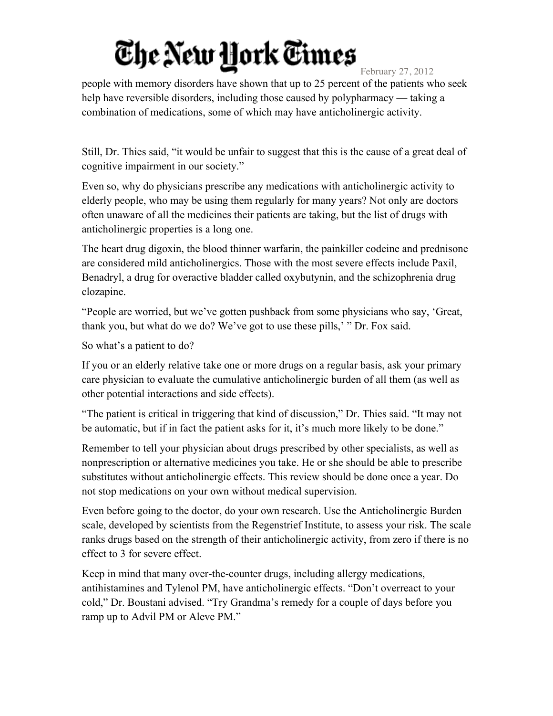February 27, 2012

people with memory disorders have shown that up to 25 percent of the patients who seek help have reversible disorders, including those caused by polypharmacy — taking a combination of medications, some of which may have anticholinergic activity.

Still, Dr. Thies said, "it would be unfair to suggest that this is the cause of a great deal of cognitive impairment in our society."

Even so, why do physicians prescribe any medications with anticholinergic activity to elderly people, who may be using them regularly for many years? Not only are doctors often unaware of all the medicines their patients are taking, but the list of drugs with anticholinergic properties is a long one.

The heart drug digoxin, the blood thinner warfarin, the painkiller codeine and prednisone are considered mild anticholinergics. Those with the most severe effects include Paxil, Benadryl, a drug for overactive bladder called oxybutynin, and the schizophrenia drug clozapine.

"People are worried, but we've gotten pushback from some physicians who say, 'Great, thank you, but what do we do? We've got to use these pills,' " Dr. Fox said.

So what's a patient to do?

If you or an elderly relative take one or more drugs on a regular basis, ask your primary care physician to evaluate the cumulative anticholinergic burden of all them (as well as other potential interactions and side effects).

"The patient is critical in triggering that kind of discussion," Dr. Thies said. "It may not be automatic, but if in fact the patient asks for it, it's much more likely to be done."

Remember to tell your physician about drugs prescribed by other specialists, as well as nonprescription or alternative medicines you take. He or she should be able to prescribe substitutes without anticholinergic effects. This review should be done once a year. Do not stop medications on your own without medical supervision.

Even before going to the doctor, do your own research. Use the Anticholinergic Burden scale, developed by scientists from the Regenstrief Institute, to assess your risk. The scale ranks drugs based on the strength of their anticholinergic activity, from zero if there is no effect to 3 for severe effect.

Keep in mind that many over-the-counter drugs, including allergy medications, antihistamines and Tylenol PM, have anticholinergic effects. "Don't overreact to your cold," Dr. Boustani advised. "Try Grandma's remedy for a couple of days before you ramp up to Advil PM or Aleve PM."